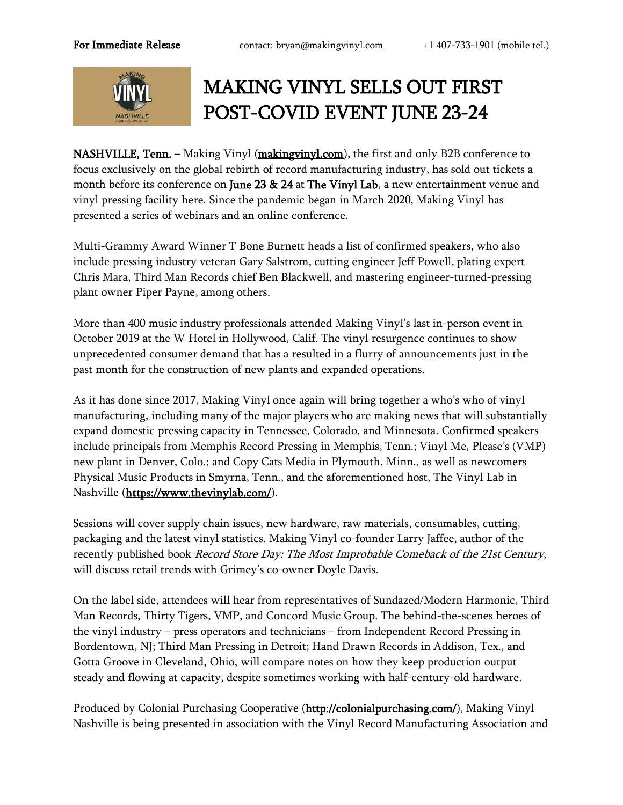

## MAKING VINYL SELLS OUT FIRST POST-COVID EVENT JUNE 23-24

NASHVILLE, Tenn. – Making Vinyl [\(makingvinyl.com\)](https://makingvinyl.com/), the first and only B2B conference to focus exclusively on the global rebirth of record manufacturing industry, has sold out tickets a month before its conference on June 23 & 24 at The Vinyl Lab, a new entertainment venue and vinyl pressing facility here. Since the pandemic began in March 2020, Making Vinyl has presented a series of webinars and an online conference.

Multi-Grammy Award Winner T Bone Burnett heads a list of confirmed speakers, who also include pressing industry veteran Gary Salstrom, cutting engineer Jeff Powell, plating expert Chris Mara, Third Man Records chief Ben Blackwell, and mastering engineer-turned-pressing plant owner Piper Payne, among others.

More than 400 music industry professionals attended Making Vinyl's last in-person event in October 2019 at the W Hotel in Hollywood, Calif. The vinyl resurgence continues to show unprecedented consumer demand that has a resulted in a flurry of announcements just in the past month for the construction of new plants and expanded operations.

As it has done since 2017, Making Vinyl once again will bring together a who's who of vinyl manufacturing, including many of the major players who are making news that will substantially expand domestic pressing capacity in Tennessee, Colorado, and Minnesota. Confirmed speakers include principals from Memphis Record Pressing in Memphis, Tenn.; Vinyl Me, Please's (VMP) new plant in Denver, Colo.; and Copy Cats Media in Plymouth, Minn., as well as newcomers Physical Music Products in Smyrna, Tenn., and the aforementioned host, The Vinyl Lab in Nashville [\(https://www.thevinylab.com/\)](https://www.thevinylab.com/).

Sessions will cover supply chain issues, new hardware, raw materials, consumables, cutting, packaging and the latest vinyl statistics. Making Vinyl co-founder Larry Jaffee, author of the recently published book Record Store Day: The Most Improbable Comeback of the 21st Century, will discuss retail trends with Grimey's co-owner Doyle Davis.

On the label side, attendees will hear from representatives of Sundazed/Modern Harmonic, Third Man Records, Thirty Tigers, VMP, and Concord Music Group. The behind-the-scenes heroes of the vinyl industry – press operators and technicians – from Independent Record Pressing in Bordentown, NJ; Third Man Pressing in Detroit; Hand Drawn Records in Addison, Tex., and Gotta Groove in Cleveland, Ohio, will compare notes on how they keep production output steady and flowing at capacity, despite sometimes working with half-century-old hardware.

Produced by Colonial Purchasing Cooperative [\(http://colonialpurchasing.com/\)](http://colonialpurchasing.com/), Making Vinyl Nashville is being presented in association with the Vinyl Record Manufacturing Association and